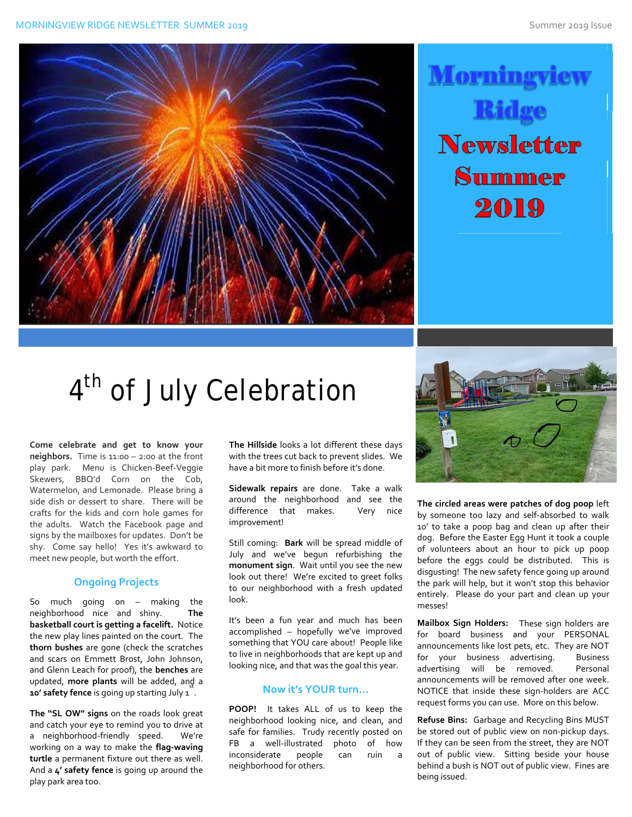



# 4<sup>th</sup> of July Celebration

**Come celebrate and get to know your neighbors.** Time is 11:00 – 2:00 at the front play park. Menu is Chicken-Beef-Veggie Skewers, BBQ'd Corn on the Cob, Watermelon, and Lemonade. Please bring a side dish or dessert to share. There will be crafts for the kids and corn hole games for the adults. Watch the Facebook page and signs by the mailboxes for updates. Don't be shy. Come say hello! Yes it's awkward to meet new people, but worth the effort.

### **Ongoing Projects**

So much going on – making the neighborhood nice and shiny. **The basketball court is getting a facelift.** Notice the new play lines painted on the court. The **thorn bushes** are gone (check the scratches and scars on Emmett Brost, John Johnson, and Glenn Leach for proof), the **benches** are updated, more plants will be added, ang a **10' safety fence** is going up starting July 1 .

**The "SL OW" signs** on the roads look great and catch your eye to remind you to drive at a neighborhood‐friendly speed. We're working on a way to make the **flag‐waving turtle** a permanent fixture out there as well. And a **4' safety fence** is going up around the play park area too.

**The Hillside** looks a lot different these days with the trees cut back to prevent slides. We have a bit more to finish before it's done.

**Sidewalk repairs** are done. Take a walk around the neighborhood and see the difference that makes. Very nice improvement!

Still coming: **Bark** will be spread middle of July and we've begun refurbishing the **monument sign**. Wait until you see the new look out there! We're excited to greet folks to our neighborhood with a fresh updated look.

It's been a fun year and much has been accomplished – hopefully we've improved something that YOU care about! People like to live in neighborhoods that are kept up and looking nice, and that was the goal this year.

#### **Now it's YOUR turn…**

**POOP!**  It takes ALL of us to keep the neighborhood looking nice, and clean, and safe for families. Trudy recently posted on FB a well-illustrated photo of how inconsiderate people can ruin a neighborhood for others.



**The circled areas were patches of dog poop** left by someone too lazy and self‐absorbed to walk 10' to take a poop bag and clean up after their dog. Before the Easter Egg Hunt it took a couple of volunteers about an hour to pick up poop before the eggs could be distributed. This is disgusting! The new safety fence going up around the park will help, but it won't stop this behavior entirely. Please do your part and clean up your messes!

**Mailbox Sign Holders:** These sign holders are for board business and your PERSONAL announcements like lost pets, etc. They are NOT for your business advertising. Business advertising will be removed. Personal announcements will be removed after one week. NOTICE that inside these sign‐holders are ACC request forms you can use. More on this below.

**Refuse Bins:** Garbage and Recycling Bins MUST be stored out of public view on non‐pickup days. If they can be seen from the street, they are NOT out of public view. Sitting beside your house behind a bush is NOT out of public view. Fines are being issued.